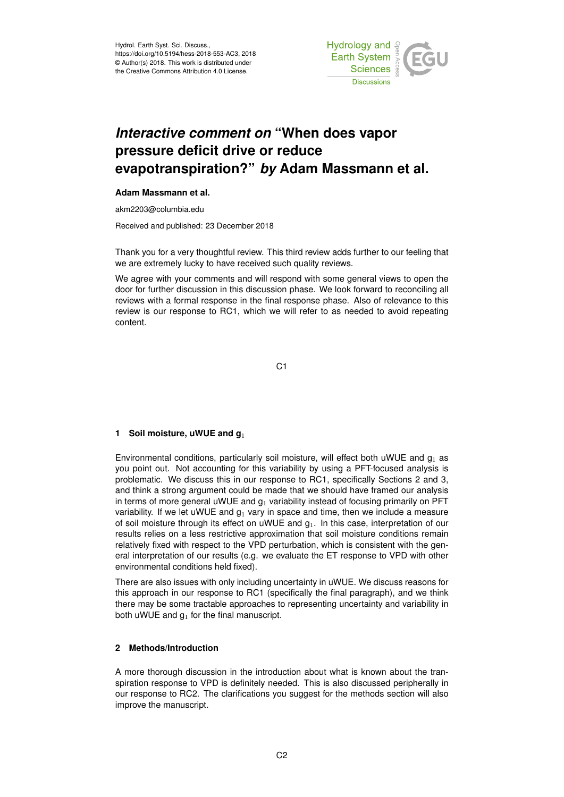

# *Interactive comment on* **"When does vapor pressure deficit drive or reduce evapotranspiration?"** *by* **Adam Massmann et al.**

### **Adam Massmann et al.**

akm2203@columbia.edu

Received and published: 23 December 2018

Thank you for a very thoughtful review. This third review adds further to our feeling that we are extremely lucky to have received such quality reviews.

We agree with your comments and will respond with some general views to open the door for further discussion in this discussion phase. We look forward to reconciling all reviews with a formal response in the final response phase. Also of relevance to this review is our response to RC1, which we will refer to as needed to avoid repeating content.

C1

## **1 Soil moisture, uWUE and g**<sup>1</sup>

Environmental conditions, particularly soil moisture, will effect both uWUE and  $g_1$  as you point out. Not accounting for this variability by using a PFT-focused analysis is problematic. We discuss this in our response to RC1, specifically Sections 2 and 3, and think a strong argument could be made that we should have framed our analysis in terms of more general uWUE and  $g_1$  variability instead of focusing primarily on PFT variability. If we let uWUE and  $g_1$  vary in space and time, then we include a measure of soil moisture through its effect on uWUE and  $g_1$ . In this case, interpretation of our results relies on a less restrictive approximation that soil moisture conditions remain relatively fixed with respect to the VPD perturbation, which is consistent with the general interpretation of our results (e.g. we evaluate the ET response to VPD with other environmental conditions held fixed).

There are also issues with only including uncertainty in uWUE. We discuss reasons for this approach in our response to RC1 (specifically the final paragraph), and we think there may be some tractable approaches to representing uncertainty and variability in both uWUE and  $g_1$  for the final manuscript.

### **2 Methods/Introduction**

A more thorough discussion in the introduction about what is known about the transpiration response to VPD is definitely needed. This is also discussed peripherally in our response to RC2. The clarifications you suggest for the methods section will also improve the manuscript.